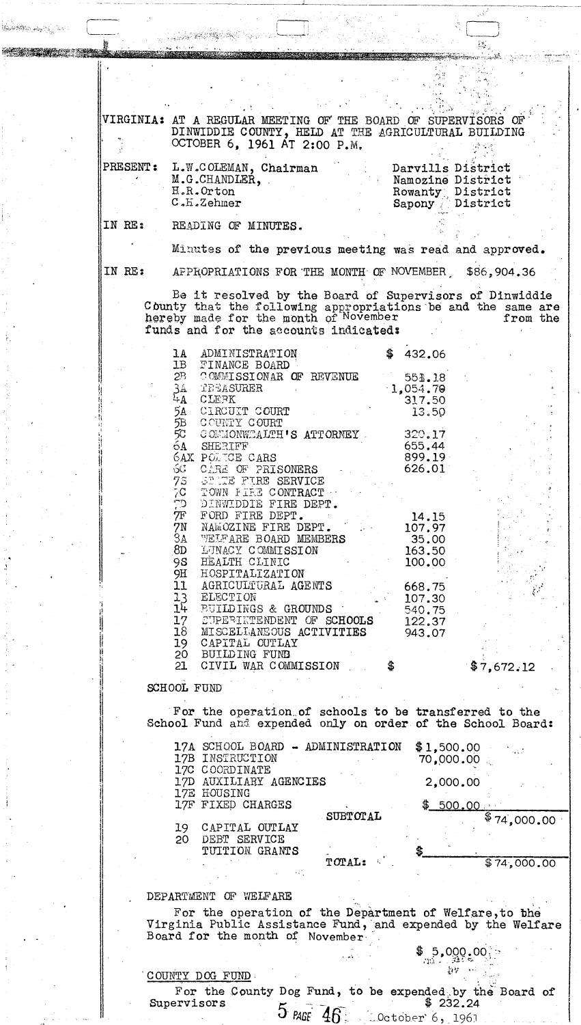VIRGINIA: AT A REGULAR MEETING OF THE BOARD OF SUPERVISORS OF DINWIDDIE COUNTY, HELD AT THE AGRICULTURAL BUILDING OCTOBER 6, 1961 AT 2:00 P.M. PRESENT: L.W.COLEMAN, Chairman Darvills District M.G.CHANDLER, Namozine District Rowanty District<br>Sapony District H.R.Orton  $C$ . $H$ .Zehmer

IN RE: READING OF MINUTES.

Minutes of the previous meeting was read and approved.

IN RE:

**BASEBOOK AND LONE** 

AFPROPRIATIONS FOR THE MONTH OF NOVEMBER 586,904.36

Ŀ,

Be it resolved by the Board of Supervisors of Dinwiddie County that the following appropriations be and the same are hereby made for the month of November from the funds and for the accounts indicateds

| 1A               | ADMINISTRATION                  | \$<br>432.06 |            |
|------------------|---------------------------------|--------------|------------|
| $\mathsf{1B}^-$  | FINANCE BOARD                   |              |            |
| $2^{\mathbb{B}}$ | COMMISSIONAR OF REVENUE         | 551.18       |            |
| $\frac{3A}{4A}$  | TEEASURER                       | 1,054,79     |            |
|                  | CLERK                           | 317.50       |            |
| $54 -$           | CIRCUIT COURT                   | 13.50        |            |
| 5B               | COUNTY COURT                    |              |            |
| 5C.              | COMMONWEALTH'S ATTORNEY         | 320.17       |            |
| 64               | SHERIFF                         | 655.44       |            |
|                  | <b>6AX POLICE CARS</b>          | $899.19 -$   |            |
| SC               | CARE OF PRISONERS               | 626.01       |            |
| 7s               | SENTE FIRE SERVICE              |              |            |
| 7C               | TOWN FIRE CONTRACT .            |              |            |
|                  | TD DINWIDDIE FIRE DEPT.         |              |            |
| 7F               | FORD FIRE DEPT.                 | 14.15        |            |
| 7N               | NAMOZINE FIRE DEPT.             | 107.97       |            |
|                  | <b>3A WELFARE BOARD MEMBERS</b> | 35.00        |            |
| 8D               | LUNACY COMMISSION               | 163.50       |            |
| 98.              | HEALTH CLINIC                   | 100.00       |            |
| 9H               | HOSPITALIZATION                 |              |            |
| 11 <sub>1</sub>  | AGRICULTURAL AGENTS             | 668.75       |            |
| $\frac{13}{14}$  | ELECTION                        | 107.30       |            |
|                  | <b>BUILDINGS &amp; GROUNDS</b>  | 540.75       |            |
| 17 <sup>1</sup>  | CUPERINTENDENT OF SCHOOLS       | 122.37       |            |
| 18               | MISCELLANEOUS ACTIVITIES        | 943.07       |            |
| 19               | CAPITAL OUTLAY                  |              |            |
| 20               | BUILDING FUND                   |              |            |
| $21 -$           | CIVIL WAR COMMISSION            | \$           | \$7,672.12 |

SCHOOL FUND

For the operation of schools to be transferred to the School Fund and expended only on order of the School Board:

17A SCHOOL BOARD - ADMINISTRATION  $$1,500.00$ 17B INSTRUCTION 70,000.00 17C COORDINATE 2,000.00 17D AUXILIARY AGENCIES 17E HOUSING 17F FIXED CHARGES  $$500.00$ SUBTOTAL 74,000.00 19 CAPITAL OUTLAY DEBT SERVICE 20 TUITION GRANTS TOTAL:  $$74,000.00$ 

## DEPARTMENT OF WELFARE

For the operation of the Department of Welfare, to the Virginia Public Assistance Fund, and expended by the Welfare Board for the month of November

> $$^{5}$ 9 $^{90}_{9}$ ° $^{90}_{9}$ 封锁

COUNTY DOG FUND

For the County Dog Fund, to be expended by the Board of<br>ervisors  $\zeta$  = -... Supervisors  $5$  PAGE  $46$  Coctober 6, 1961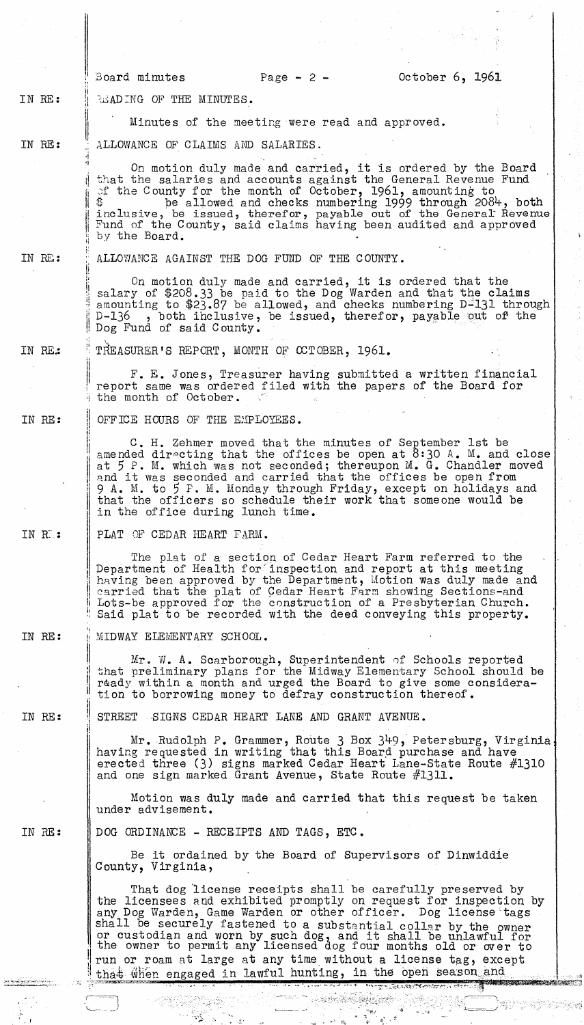## IN RE: READING OF THE MINUTES.

II

. !

H

::

1

ii

~"--

Minutes of the meeting were read and approved.

IN BE: ALLOWANCE OF CLAIMS AND SALARIES.

> On motion duly made and carried, it is ordered by the Board that the salaries and accounts against the General Revenue Fund of the County for the month of October, 1961, amounting to be allowed and checks numbering 1999 through 2084, both inclusive, be issued, therefor, payable out of the General Revenue Fund of the County, said claims having been audited and approved by the Board.

## IN RE:

ALLOWANCE AGAINST THE DOG FUND OF THE COUNTY.

On motion duly made and carried, it is ordered that the salary of \$208.33 be paid to the Dog Warden and that the claims amounting to  $$23.87$  be allowed, and checks numbering D<sup>2</sup>131 through D-136 , both inclusive, be issued, therefor, payable out of the , both inclusive, be issued, therefor, payable out of the Dog Fund of said County.

IN RE: TREASURER'S REPORT, MONTH OF CCTOBER, 1961.

> F. E. Jones, Treasurer having submitted a written financial report same was ordered filed with the papers of the Board for the month of October.

IN RE: II :, OFFICE HOURS OF THE EMPLOYEES.

> *'i* C. H. Zehmer moved that the minutes of September 1st be amended directing that the offices be open at  $8:30$  A. M. and close at  $5$  P. M. which was not seconded; thereupon M. G. Chandler moved and it was seconded and carried that the offices be open from 9 A. M. to 5 P. M. Monday through Friday, except on holidays and that the officers so schedule their work that someone would be in the office during lunch time.

IN K: PLAT OF CEDAR HEART FARM.

> The plat of a section of Cedar Heart Farm referred to the Department of Health for inspection and report at this meeting having been approved by the Department, Motion was duly made and earried that the plat of Gedar Heart Farm showing Sections-and Lots-be approved for the construction of a Presbyterian Church. Said plat to be recorded with the deed conveying this property.

IN RE: MIDWAY ELEMENTARY SCHOOL.

> $\texttt{Mr. W. A. Scarbonough, Superintendent of Schools reported}$ that preliminary plans for the Midway Elementary School should be ready within a month and urged the Board to give some consideration to borrowing money to defray construction thereof.

IN RE: STREET SIGNS CEDAR HEART LANE AND GRANT AVENUE.

> Mr. Rudolph P. Grammer, Route 3 Box 349, Petersburg, Virginia, having requested in writing that this Board purchase and have erected three (3) signs marked Cedar Heart Lane-State Route #1310 and one sign marked Grant Avenue, State Route #1311.

Motion was duly made and carried that this request be taken under advisement.

IN RE: DOG ORDINANCE - RECEIPTS AND TAGS, ETC.

 $\sim$   $\sim$ 

 $\sim \omega_{\rm c}$ 

Be it ordained by the Board of Supervisors of Dinwiddie County, Virginia,

r<br>Album

That dog license receipts shall be carefully preserved by the licensees and exhibited promptly on request for inspection by any Dog Warden, Game Warden or other officer. Dog license tags shall be securely fastened to a substantial collar by the owner or custodian and worn by such dog, and it shall be unlawful for the owner to permit any licensed dog four months old or over to run or roam at large at any time without a license tag, except tha+ when engaged in lawful hunting, in the open season and that when engaged in tawini nuncing, in the open season and  $\frac{1}{2}$ 

ૺ૾૾

 $\mathcal{M}$ 

 $\mathbf{a}^{\prime}$  ,  $\mathbf{f}^{\prime}$  ,

. . ..... ~ ...... ,,.;.-..... :'>--,..""",~-.. ~.-~  $: \mathcal{L} \rightarrow \mathcal{L} \rightarrow \mathcal{L} \rightarrow \mathcal{L} \rightarrow \mathcal{L} \rightarrow \mathcal{L} \rightarrow \mathcal{L} \rightarrow \mathcal{L} \rightarrow \mathcal{L} \rightarrow \mathcal{L} \rightarrow \mathcal{L} \rightarrow \mathcal{L} \rightarrow \mathcal{L} \rightarrow \mathcal{L} \rightarrow \mathcal{L} \rightarrow \mathcal{L} \rightarrow \mathcal{L} \rightarrow \mathcal{L} \rightarrow \mathcal{L} \rightarrow \mathcal{L} \rightarrow \mathcal{L} \rightarrow \mathcal{L} \rightarrow \mathcal{L} \rightarrow \mathcal{L} \rightarrow \mathcal{L} \rightarrow \mathcal{L} \rightarrow \mathcal{L} \rightarrow \mathcal$ 

> :.:. . չ.<br>, ՝ , , ,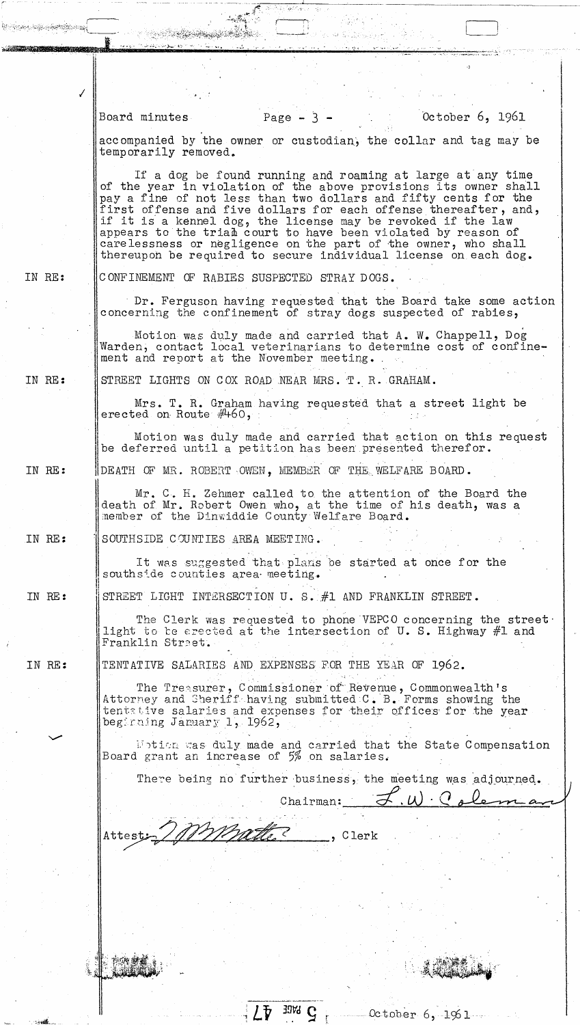$\bigg)$ IN RE: IN RE: IN RE: IN RE: IN RE: IN RE: .) Board minutes  $Page - 3 - 0ctober 6, 1961$ accompanied by the owner or custodian, the collar and tag may be temporarily removed. If a dog be found running and roaming at large at any time of the year in violation of the above provisions its owner shall pay a fine of not less than two dollars and fifty cents for the first offense and five dollars for each offense thereafter, and, if it is a kennel dog, the license may be revoked if the law appears to the trian court to have been violated by reason of carelessness or negligence on the part of the owner, who shall thereupoh be required to secure individual license on each dog. CONFINEMENT OF RABIES SUSPECTED STRAY DOGS. Dr. Ferguson having requested that the Board take some action concerning the confinement of stray dogs suspected of rabies, Motion was duly made and carried that A. W. Chappell, Dog Warden, contact local veterinarians to determine cost of confinement and report at the November meeting •. STREET LIGHTS ON COX ROAD NEAR MRS. T. R. GRAHAM. Mrs. T. R. Graham having requested that a street light be erected on Route  $#460$ , Motion was duly made and carried that action on this request DEATH OF MR. ROBERT OWEN, MEMBER OF THE WELFARE BOARD. be deferred until a petition has been presented therefor. Mr. C. H. Zehmer called to the attention of the Board the death of Mr. Robert Owen who, at the time of his death, was a SOUTHSIDE C0UNTIES AREA MEETING. It was suggested that plams be started at once for the southside counties area meeting. member of the Dinwiddie County Welfare Board. STREET LIGHT INTERSECTION U. S.  $#1$  AND FRANKLIN STREET. The Clerk was requested to phone VEPCO concerning the street. light to be erected at the intersection of U. S. Highway  $#1$  and Franklin Street. STREET LIGHT INTERSECTION U.S. #1 AND FRANKLIN STREET<br>The Clerk was requested to phone VEPCO concerning<br>light to be erected at the intersection of U.S. Hight<br>Franklin Street.<br>TENTATIVE SALARIES AND EXPENSES FOR THE YEAR OF The  $\texttt{Tree} \texttt{super}, \texttt{Commissioner}$  of Revenue, Commonwealth's Attorney and Sheriffhaving submittedC. B. Forms showing the tent::ive salaries and expenses for their offices for the year southside counties area meeting.<br>
STREET LIGHT INTERSECTION U.S. #1 AND FRANKLIN STREET.<br>
The Clerk was requested to phone VEPCO concerning the street<br>
light to terested at the intersection of U.S. Highway #1 and<br>
Franklin ibtion was duly made and carried that the State Compensation Board grant an increase of  $5%$  on salaries. There being no further business, the meeting was adjourned. Chairman:  $\mathbf{w}$  ,  $\mathbf{c}$  ,  $\mathbf{c}$  ,  $\mathbf{c}$  ,  $\mathbf{c}$ Attest; 200 Matter , Clerk

 $L$ <sup>*b*</sup> 39%  $G$ 

 $October 6,1961$ 

*,tt,* , '~"f~;':;'~~ ~..-:-. -

! :

.. .~. .. " .. '

 $\Box$ 

 $\ldots$ ,  $\ldots$  ,  $\ldots$  ,  $\ldots$  ,  $\ldots$  ,  $\ldots$ ."-.... :.: .. *.* "~r--. t':' ,', . --.- ..... ,.

ે વેપણ જેવ<sub>ા</sub> આફ્રેસના તુર્તમાં જોવા વિદેશને આદમ<mark>ા</mark>